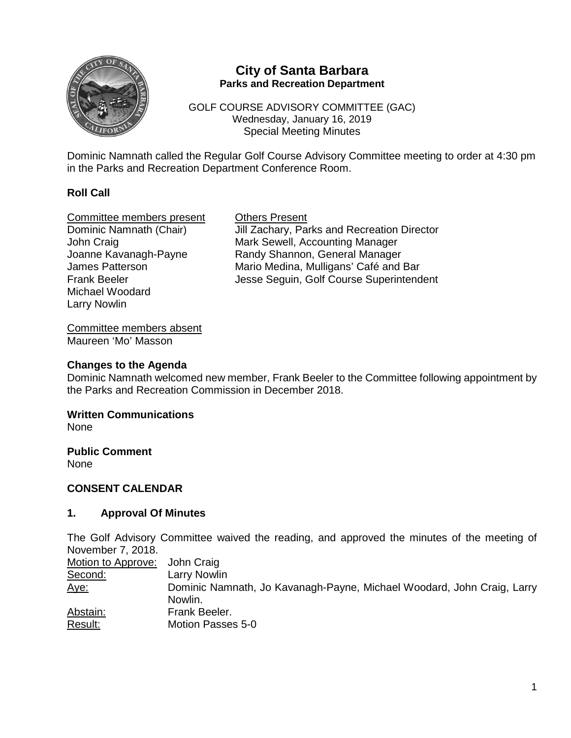

## **City of Santa Barbara Parks and Recreation Department**

GOLF COURSE ADVISORY COMMITTEE (GAC) Wednesday, January 16, 2019 Special Meeting Minutes

Dominic Namnath called the Regular Golf Course Advisory Committee meeting to order at 4:30 pm in the Parks and Recreation Department Conference Room.

#### **Roll Call**

Committee members present Others Present Michael Woodard Larry Nowlin

Dominic Namnath (Chair) Jill Zachary, Parks and Recreation Director John Craig<br>Joanne Kavanagh-Payne **Mark Sewell, Accounting Manager**<br>Randy Shannon, General Manager Joanne Kavanagh-Payne **Randy Shannon, General Manager**<br>James Patterson **Mario Medina, Mulligans' Café** and I Mario Medina, Mulligans' Café and Bar Frank Beeler **Jesse Seguin, Golf Course Superintendent** 

Committee members absent Maureen 'Mo' Masson

#### **Changes to the Agenda**

Dominic Namnath welcomed new member, Frank Beeler to the Committee following appointment by the Parks and Recreation Commission in December 2018.

# **Written Communications**

None

**Public Comment** None

#### **CONSENT CALENDAR**

#### **1. Approval Of Minutes**

The Golf Advisory Committee waived the reading, and approved the minutes of the meeting of November 7, 2018.

| Motion to Approve: John Craig |                                                                                   |
|-------------------------------|-----------------------------------------------------------------------------------|
| Second:                       | <b>Larry Nowlin</b>                                                               |
| <u>Aye:</u>                   | Dominic Namnath, Jo Kavanagh-Payne, Michael Woodard, John Craig, Larry<br>Nowlin. |
| Abstain:                      | Frank Beeler.                                                                     |
| Result:                       | Motion Passes 5-0                                                                 |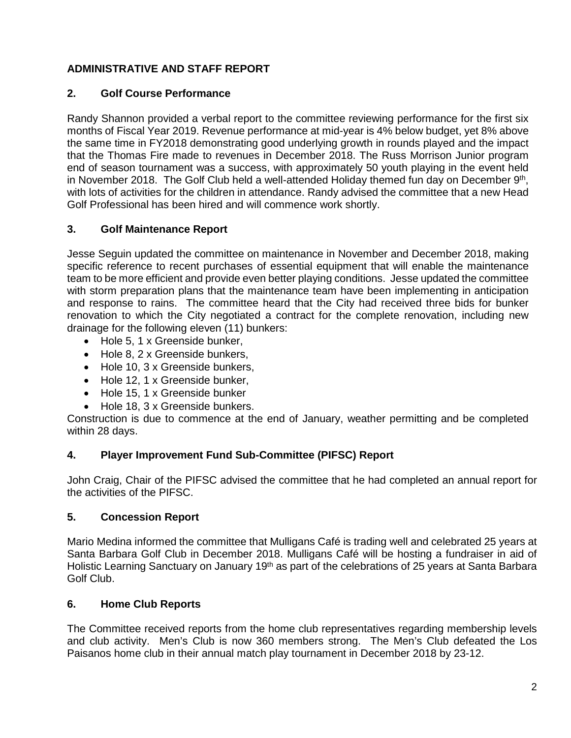# **ADMINISTRATIVE AND STAFF REPORT**

### **2. Golf Course Performance**

Randy Shannon provided a verbal report to the committee reviewing performance for the first six months of Fiscal Year 2019. Revenue performance at mid-year is 4% below budget, yet 8% above the same time in FY2018 demonstrating good underlying growth in rounds played and the impact that the Thomas Fire made to revenues in December 2018. The Russ Morrison Junior program end of season tournament was a success, with approximately 50 youth playing in the event held in November 2018. The Golf Club held a well-attended Holiday themed fun day on December 9th, with lots of activities for the children in attendance. Randy advised the committee that a new Head Golf Professional has been hired and will commence work shortly.

## **3. Golf Maintenance Report**

Jesse Seguin updated the committee on maintenance in November and December 2018, making specific reference to recent purchases of essential equipment that will enable the maintenance team to be more efficient and provide even better playing conditions. Jesse updated the committee with storm preparation plans that the maintenance team have been implementing in anticipation and response to rains. The committee heard that the City had received three bids for bunker renovation to which the City negotiated a contract for the complete renovation, including new drainage for the following eleven (11) bunkers:

- Hole 5, 1 x Greenside bunker,
- Hole 8, 2 x Greenside bunkers,
- Hole 10, 3 x Greenside bunkers,
- Hole 12, 1 x Greenside bunker,
- Hole 15, 1 x Greenside bunker
- Hole 18, 3 x Greenside bunkers.

Construction is due to commence at the end of January, weather permitting and be completed within 28 days.

#### **4. Player Improvement Fund Sub-Committee (PIFSC) Report**

John Craig, Chair of the PIFSC advised the committee that he had completed an annual report for the activities of the PIFSC.

#### **5. Concession Report**

Mario Medina informed the committee that Mulligans Café is trading well and celebrated 25 years at Santa Barbara Golf Club in December 2018. Mulligans Café will be hosting a fundraiser in aid of Holistic Learning Sanctuary on January 19<sup>th</sup> as part of the celebrations of 25 years at Santa Barbara Golf Club.

#### **6. Home Club Reports**

The Committee received reports from the home club representatives regarding membership levels and club activity. Men's Club is now 360 members strong. The Men's Club defeated the Los Paisanos home club in their annual match play tournament in December 2018 by 23-12.